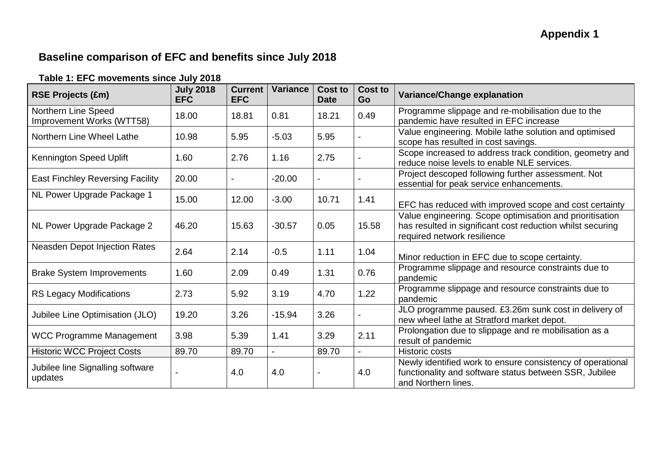## **Baseline comparison of EFC and benefits since July 2018**

| Table 1: EFC movements since July 2018 |  |  |
|----------------------------------------|--|--|
|----------------------------------------|--|--|

| <b>RSE Projects (£m)</b>                         | <b>July 2018</b><br><b>EFC</b> | <b>Current</b><br><b>EFC</b> | <b>Variance</b> | <b>Cost to</b><br><b>Date</b> | <b>Cost to</b><br>Go | <b>Variance/Change explanation</b>                                                                                                                    |
|--------------------------------------------------|--------------------------------|------------------------------|-----------------|-------------------------------|----------------------|-------------------------------------------------------------------------------------------------------------------------------------------------------|
| Northern Line Speed<br>Improvement Works (WTT58) | 18.00                          | 18.81                        | 0.81            | 18.21                         | 0.49                 | Programme slippage and re-mobilisation due to the<br>pandemic have resulted in EFC increase                                                           |
| Northern Line Wheel Lathe                        | 10.98                          | 5.95                         | $-5.03$         | 5.95                          |                      | Value engineering. Mobile lathe solution and optimised<br>scope has resulted in cost savings.                                                         |
| Kennington Speed Uplift                          | 1.60                           | 2.76                         | 1.16            | 2.75                          |                      | Scope increased to address track condition, geometry and<br>reduce noise levels to enable NLE services.                                               |
| <b>East Finchley Reversing Facility</b>          | 20.00                          |                              | $-20.00$        |                               |                      | Project descoped following further assessment. Not<br>essential for peak service enhancements.                                                        |
| NL Power Upgrade Package 1                       | 15.00                          | 12.00                        | $-3.00$         | 10.71                         | 1.41                 | EFC has reduced with improved scope and cost certainty                                                                                                |
| NL Power Upgrade Package 2                       | 46.20                          | 15.63                        | $-30.57$        | 0.05                          | 15.58                | Value engineering. Scope optimisation and prioritisation<br>has resulted in significant cost reduction whilst securing<br>required network resilience |
| Neasden Depot Injection Rates                    | 2.64                           | 2.14                         | $-0.5$          | 1.11                          | 1.04                 | Minor reduction in EFC due to scope certainty.                                                                                                        |
| <b>Brake System Improvements</b>                 | 1.60                           | 2.09                         | 0.49            | 1.31                          | 0.76                 | Programme slippage and resource constraints due to<br>pandemic                                                                                        |
| <b>RS Legacy Modifications</b>                   | 2.73                           | 5.92                         | 3.19            | 4.70                          | 1.22                 | Programme slippage and resource constraints due to<br>pandemic                                                                                        |
| Jubilee Line Optimisation (JLO)                  | 19.20                          | 3.26                         | $-15.94$        | 3.26                          |                      | JLO programme paused. £3.26m sunk cost in delivery of<br>new wheel lathe at Stratford market depot.                                                   |
| <b>WCC Programme Management</b>                  | 3.98                           | 5.39                         | 1.41            | 3.29                          | 2.11                 | Prolongation due to slippage and re mobilisation as a<br>result of pandemic                                                                           |
| <b>Historic WCC Project Costs</b>                | 89.70                          | 89.70                        | ä,              | 89.70                         |                      | <b>Historic costs</b>                                                                                                                                 |
| Jubilee line Signalling software<br>updates      |                                | 4.0                          | 4.0             |                               | 4.0                  | Newly identified work to ensure consistency of operational<br>functionality and software status between SSR, Jubilee<br>and Northern lines.           |